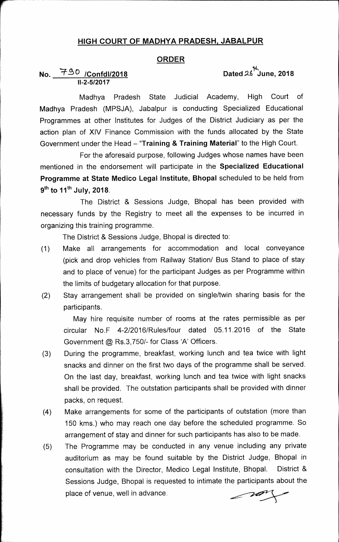## **HIGH COURT OF MADHYA PRADESH, JABALPUR**

#### **ORDER**

## **No. \*4-2(:)/Confd1/2018 11-2-5/2017**

## **14, Dated .2,6 June, 2018**

**Madhya Pradesh State Judicial Academy, High Court of Madhya Pradesh (MPSJA), Jabalpur is conducting Specialized Educational Programmes at other Institutes for Judges of the District Judiciary as per the action plan of XIV Finance Commission with the funds allocated by the State**  Government under the Head - "Training & Training Material" to the High Court.

**For the aforesaid purpose, following Judges whose names have been mentioned in the endorsement will participate in the Specialized Educational Programme at State Medico Legal Institute, Bhopal scheduled to be held from**  9<sup>th</sup> to 11<sup>th</sup> July, 2018.

**The District & Sessions Judge, Bhopal has been provided with necessary funds by the Registry to meet all the expenses to be incurred in organizing this training programme.** 

**The District & Sessions Judge, Bhopal is directed to:** 

- **(1) Make all arrangements for accommodation and local conveyance (pick and drop vehicles from Railway Station/ Bus Stand to place of stay and to place of venue) for the participant Judges as per Programme within the limits of budgetary allocation for that purpose.**
- **(2) Stay arrangement shall be provided on single/twin sharing basis for the participants.**

**May hire requisite number of rooms at the rates permissible as per circular No.F 4-2/2016/Rules/four dated 05.11.2016 of the State Government @ Rs.3,750/- for Class 'A' Officers.** 

- **(3) During the programme, breakfast, working lunch and tea twice with light snacks and dinner on the first two days of the programme shall be served. On the last day, breakfast, working lunch and tea twice with light snacks shall be provided. The outstation participants shall be provided with dinner packs, on request.**
- **(4) Make arrangements for some of the participants of outstation (more than 150 kms.) who may reach one day before the scheduled programme. So arrangement of stay and dinner for such participants has also to be made.**
- **(5) The Programme may be conducted in any venue including any private auditorium as may be found suitable by the District Judge, Bhopal in consultation with the Director, Medico Legal Institute, Bhopal. District & Sessions Judge, Bhopal is requested to intimate the participants about the place of venue, well in advance.**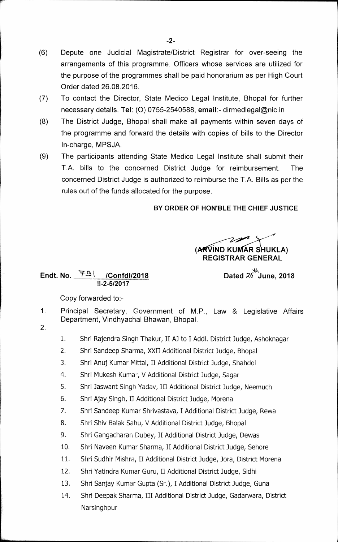- (6) Depute one Judicial Magistrate/District Registrar for over-seeing the arrangements of this programme. Officers whose services are utilized for the purpose of the programmes shall be paid honorarium as per High Court Order dated 26.08.2016.
- (7) To contact the Director, State Medico Legal Institute, Bhopal for further necessary details. Tel: (0) 0755-2540588, **email:-** dirmedlegal©nic.in
- (8) The District Judge, Bhopal shall make all payments within seven days of the programme and forward the details with copies of bills to the Director In-charge, MPSJA.
- (9) The participants attending State Medico Legal Institute shall submit their T.A. bills to the concerned District Judge for reimbursement. The concerned District Judge is authorized to reimburse the T.A. Bills as per the rules out of the funds allocated for the purpose.

## **BY ORDER OF HON'BLE THE CHIEF JUSTICE**

 $\rightarrow$ **(ARVIND KUMAR SHUKLA) REGISTRAR GENERAL** 

# **\* June, 2018**

## **Endt. No. /Confd<sup>1</sup> /2018 Dated** *26* **11-2-5/2017**

Copy forwarded to:-

- 1. Principal Secretary, Government of **M.P.,** Law & Legislative Affairs Department, Vindhyachal Bhawan, Bhopal.
- 2.
- 1. Shri Rajendra Singh Thakur, II AJ to I Addl. District Judge, Ashoknagar
- 2. Shri Sandeep Sharma, XXII Additional District Judge, Bhopal
- 3. Shri Anuj Kumar Mittal, II Additional District Judge, Shahdol
- 4. Shri Mukesh Kumar, V Additional District Judge, Sagar
- 5. Shri 3aswant Singh Yadav, III Additional District Judge, Neemuch
- 6. Shri Ajay Singh, II Additional District Judge, Morena
- 7. Shri Sandeep Kurnar Shrivastava, I Additional District Judge, Rewa
- 8. Shri Shiv Balak Sahu, V Additional District Judge, Bhopal
- 9. Shri Gangacharan Dubey, II Additional District Judge, Dewas
- 10. Shri Naveen Kumar Sharma, II Additional District Judge, Sehore
- 11. Shri Sudhir Mishra, II Additional District Judge, Jora, District Morena
- 12. Shri Yatindra Kurnar Guru, II Additional District Judge, Sidhi
- 13. Shri Sanjay Kumar Gupta (Sr.), I Additional District Judge, Guna
- 14. Shri Deepak Sharma, III Additional District Judge, Gadarwara, District **Narsinghpur**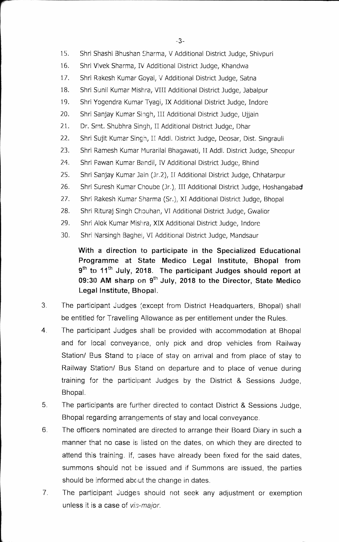- 15. Shri Shashi Bhushan Sharma, V Additional District Judge, Shivpuri
- 16. Shri Vivek Sharma, IV Additional District Judge, Khandwa
- 17. Shri Rakesh Kumar Goya', V Additional District Judge, Satna
- 18. Shri Sunil Kumar Mishra, VIII Additional District Judge, Jabalpur
- 19. Shri Yogendra Kumar Tyagi, IX Additional District Judge, Indore
- 20. Shri Sanjay Kumar Singh, III Additional District Judge, Ujjain
- 21. Dr. Smt. Shubhra Singh, II Additional District Judge, Dhar
- 22. Shri Sujit Kumar Singh, II Addl. District Judge, Deosar, Dist. Singrauli
- 23. Shri Ramesh Kumar Murarilal Bhagawati, II Addl. District Judge, Sheopur
- 24. Shri Fawan Kumar Bandil, IV Additional District Judge, Bhind
- 25. Shri Sanjay Kumar Jain (Jr.2), IT Additional District Judge, Chhatarpur
- 26. Shri Suresh Kumar Choube (Jr.), III Additional District Judge, Hoshangabad
- 27. Shri Rakesh Kumar Sharma (Sr.), XI Additional District Judge, Bhopal
- 28. Shri Rituraj Singh Chouhan, VI Additional District Judge, Gwalior
- 29. Shri Alok Kumar Mishra, XIX Additional District Judge, Indore
- 30. Shri Narsingh Baghel, VI Additional District Judge, Mandsaur

**With a direction to participate in the Specialized Educational Programme at State Medico Legal Institute, Bhopal from <sup>9</sup>th to** 11**th July, 2018. The participant Judges should report at 09:30 AM sharp on 9<sup>th</sup> July, 2018 to the Director, State Medico Legal Institute, Bhopal.** 

- 3 The participant judges (except from District Headquarters, Bhopal) shall be entitled for Travelling Allowance as per entitlement under the Rules.
- $4.$ The participant Judges shall be provided with accommodation at Bhopal and for local conveyance, only pick and drop vehicles from Railway Station/ Bus Stand to place of stay on arrival and from place of stay to Railway Station/ Bus Stand on departure and to place of venue during training for the participant Judges by the District & Sessions Judge, Bhopal.
- 5. The participants are further directed to contact District & Sessions Judge, Bhopal regarding arrangements of stay and local conveyance.
- 6 The officers nominated are directed to arrange their Board Diary in such a manner that no case is listed on the dates, on which they are directed to attend this training. If, cases have already been fixed for the said dates, summons should not be issued and if Summons are issued, the parties should be informed about the change in dates.
- 7 The participant judges should not seek any adjustment or exemption unless it is a case of *vis-major.*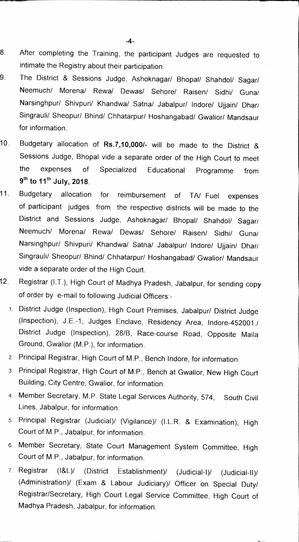- **8 After completing the Training, the participant Judges are requested to intimate the Registry about their participation.**
- **9. The District & Sessions Judge, Ashoknagar/ Bhopal/ Shahdol/ Sagan/ Neemuch/ Morena/ Rewa/ Dewas/ Sehore/ Raisen/ Sidhi/ Guna/ Narsinghpur/ Shivpuri/ Khandwa/ Satna/ Jabalpur/ Indore/ Ujjain/ Dhari Singrauli/ Sheopur/ Bhind/ Chhatarpur/ Hoshangabad/ Gwalior/ Mandsaur for information.**
- **10. Budgetary allocation of Rs.7,10,000/- will be made to the District & Sessions Judge, Bhopal vide a separate order of the High Court to meet the expenses of Specialized Educational Programme from**  9<sup>th</sup> to 11<sup>th</sup> July, 2018.
- **11. Budgetary allocation for reimbursement of TA/ Fuel expenses of participant judges from the respective districts will be made to the District and Sessions Judge, Ashoknagar/ Bhopal/ Shahdol/ Sagan/ Neemuch/ Morena/ Rewa/ Dewas/ Sehore/ Raisen/ Sidhi/ Guna/ Narsinghpur/ Shivpuri/ Khandwa/ Satna/ Jabalpur/ Indore/ Ujjain/ Dhari Singrauli/ Sheopur/ Bhind/ Chhatarpur/ Hoshangabad/ Gwalior/ Mandsaur vide a separate order of the High Court.**
- **12. Registrar (I.T.), High Court of Madhya Pradesh, Jabalpur, for sending copy of order by e-mail to following Judicial Officers:-** 
	- **1. District Judge (Inspection), High Court Premises, Jabalpur/ District Judge (Inspection), J.E.-1, Judges Enclave, Residency Area, Indore-452001.1 District Judge (Inspection), 28/B, Race-course Road, Opposite Maila Ground, Gwalior (M.P.), for information.**
	- **2. Principal Registrar, High Court of M.P., Bench Indore, for information**
	- **3. Principal Registrar, High Court of M.P., Bench at Gwalior, New High Court Building, City Centre, Gwalior, for information.**
	- **4. Member Secretary, M.P. State Legal Services Authority, 574, South Civil Lines, Jabalpur, for information.**
	- **5. Principal Registrar (Judicial)/ (Vigilance)/ (I.L.R. & Examination), High Court of M.P., Jabalpur, for information.**
	- **6. Member Secretary, State Court Management System Committee, High Court of M.P., Jabalpur, for information.**
	- **7. Registrar (I&L)/ (District Establishment)/ (Judicial-I)/ (Judicial-II)/ (Administration)/ (Exam & Labour Judiciary)/ Officer on Special Duty/ Registrar/Secretary, High Court Legal Service Committee, High Court of Madhya Pradesh, Jabalpur, for information.**